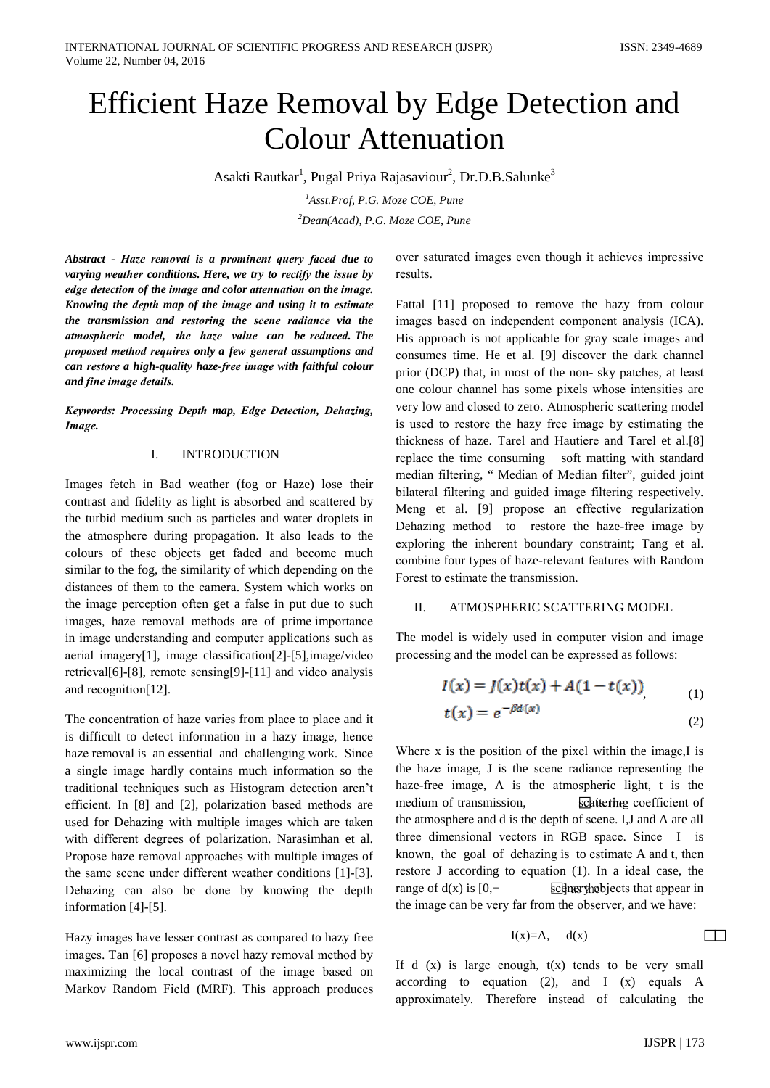# **Efficient Haze Removal by Edge Detection and Colour Attenuation**

Asakti Rautkar<sup>1</sup>, Pugal Priya Rajasaviour<sup>2</sup>, Dr.D.B.Salunke<sup>3</sup>

<sup>1</sup>Asst.Prof, P.G. Moze COE, Pune  $2$ Dean(Acad), P.G. Moze COE, Pune

Abstract - Haze removal is a prominent query faced due to varying weather conditions. Here, we try to rectify the issue by edge detection of the image and color attenuation on the image. Knowing the depth map of the image and using it to estimate the transmission and restoring the scene radiance via the atmospheric model, the haze value can be reduced. The proposed method requires only a few general assumptions and can restore a high-quality haze-free image with faithful colour and fine image details.

Keywords: Processing Depth map, Edge Detection, Dehazing, Image.

#### $\mathbf{I}$ **INTRODUCTION**

Images fetch in Bad weather (fog or Haze) lose their contrast and fidelity as light is absorbed and scattered by the turbid medium such as particles and water droplets in the atmosphere during propagation. It also leads to the colours of these objects get faded and become much similar to the fog, the similarity of which depending on the distances of them to the camera. System which works on the image perception often get a false in put due to such images, haze removal methods are of prime importance in image understanding and computer applications such as aerial imagery[1], image classification[2]-[5], image/video retrieval[6]-[8], remote sensing[9]-[11] and video analysis and recognition[12].

The concentration of haze varies from place to place and it is difficult to detect information in a hazy image, hence haze removal is an essential and challenging work. Since a single image hardly contains much information so the traditional techniques such as Histogram detection aren't efficient. In [8] and [2], polarization based methods are used for Dehazing with multiple images which are taken with different degrees of polarization. Narasimhan et al. Propose haze removal approaches with multiple images of the same scene under different weather conditions [1]-[3]. Dehazing can also be done by knowing the depth information  $[4]-[5]$ .

Hazy images have lesser contrast as compared to hazy free images. Tan [6] proposes a novel hazy removal method by maximizing the local contrast of the image based on Markov Random Field (MRF). This approach produces over saturated images even though it achieves impressive results.

Fattal [11] proposed to remove the hazy from colour images based on independent component analysis (ICA). His approach is not applicable for gray scale images and consumes time. He et al. [9] discover the dark channel prior (DCP) that, in most of the non-sky patches, at least one colour channel has some pixels whose intensities are very low and closed to zero. Atmospheric scattering model is used to restore the hazy free image by estimating the thickness of haze. Tarel and Hautiere and Tarel et al.[8] replace the time consuming soft matting with standard median filtering, "Median of Median filter", guided joint bilateral filtering and guided image filtering respectively. Meng et al. [9] propose an effective regularization Dehazing method to restore the haze-free image by exploring the inherent boundary constraint; Tang et al. combine four types of haze-relevant features with Random Forest to estimate the transmission.

#### ATMOSPHERIC SCATTERING MODEL  $\Pi$

The model is widely used in computer vision and image processing and the model can be expressed as follows:

$$
I(x) = J(x)t(x) + A(1 - t(x))
$$
 (1)

$$
t(x) = e^{-\beta d(x)}
$$
 (2)

Where x is the position of the pixel within the image,I is the haze image, J is the scene radiance representing the haze-free image, A is the atmospheric light, t is the medium of transmission, scattering coefficient of the atmosphere and d is the depth of scene. I, J and A are all three dimensional vectors in RGB space. Since I is known, the goal of dehazing is to estimate A and t, then restore J according to equation (1). In a ideal case, the range of  $d(x)$  is  $[0,+]$ scener the biects that appear in the image can be very far from the observer, and we have:

$$
I(x)=A, \quad d(x)
$$

If  $d(x)$  is large enough,  $t(x)$  tends to be very small according to equation (2), and  $I(x)$  equals A approximately. Therefore instead of calculating the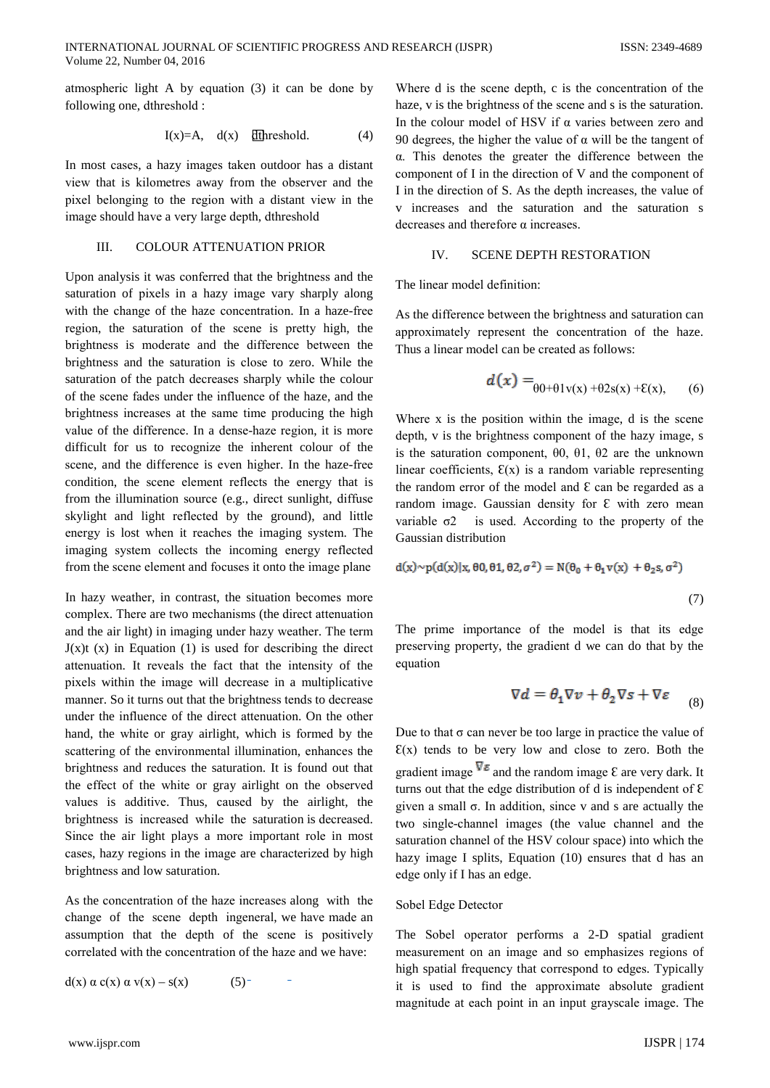atmospheric light A by equation (3) it can be done by following one, dthreshold :

$$
I(x)=A, d(x) \quad \text{[threshold.} \tag{4}
$$

In most cases, a hazy images taken outdoor has a distant view that is kilometres away from the observer and the pixel belonging to the region with a distant view in the image should have a very large depth, dthreshold

#### III. **COLOUR ATTENUATION PRIOR**

Upon analysis it was conferred that the brightness and the saturation of pixels in a hazy image vary sharply along with the change of the haze concentration. In a haze-free region, the saturation of the scene is pretty high, the brightness is moderate and the difference between the brightness and the saturation is close to zero. While the saturation of the patch decreases sharply while the colour of the scene fades under the influence of the haze, and the brightness increases at the same time producing the high value of the difference. In a dense-haze region, it is more difficult for us to recognize the inherent colour of the scene, and the difference is even higher. In the haze-free condition, the scene element reflects the energy that is from the illumination source (e.g., direct sunlight, diffuse skylight and light reflected by the ground), and little energy is lost when it reaches the imaging system. The imaging system collects the incoming energy reflected from the scene element and focuses it onto the image plane

In hazy weather, in contrast, the situation becomes more complex. There are two mechanisms (the direct attenuation and the air light) in imaging under hazy weather. The term  $J(x)$  (x) in Equation (1) is used for describing the direct attenuation. It reveals the fact that the intensity of the pixels within the image will decrease in a multiplicative manner. So it turns out that the brightness tends to decrease under the influence of the direct attenuation. On the other hand, the white or gray airlight, which is formed by the scattering of the environmental illumination, enhances the brightness and reduces the saturation. It is found out that the effect of the white or gray airlight on the observed values is additive. Thus, caused by the airlight, the brightness is increased while the saturation is decreased. Since the air light plays a more important role in most cases, hazy regions in the image are characterized by high brightness and low saturation.

As the concentration of the haze increases along with the change of the scene depth ingeneral, we have made an assumption that the depth of the scene is positively correlated with the concentration of the haze and we have:

$$
d(x) \alpha c(x) \alpha v(x) - s(x) \qquad (5)
$$

Where d is the scene depth, c is the concentration of the haze, v is the brightness of the scene and s is the saturation. In the colour model of HSV if  $\alpha$  varies between zero and 90 degrees, the higher the value of  $\alpha$  will be the tangent of  $\alpha$ . This denotes the greater the difference between the component of I in the direction of V and the component of I in the direction of S. As the depth increases, the value of v increases and the saturation and the saturation s decreases and therefore  $\alpha$  increases.

### $\overline{V}$ **SCENE DEPTH RESTORATION**

The linear model definition:

As the difference between the brightness and saturation can approximately represent the concentration of the haze. Thus a linear model can be created as follows:

$$
\boldsymbol{d(x)} =_{\theta 0 + \theta 1 \mathbf{v(x)} + \theta 2 \mathbf{s(x)} + \mathbf{E(x)}, \qquad (6)
$$

Where x is the position within the image, d is the scene depth, v is the brightness component of the hazy image, s is the saturation component,  $\theta$ 0,  $\theta$ 1,  $\theta$ 2 are the unknown linear coefficients,  $E(x)$  is a random variable representing the random error of the model and  $\epsilon$  can be regarded as a random image. Gaussian density for  $\epsilon$  with zero mean is used. According to the property of the variable  $\sigma$ 2 Gaussian distribution

$$
d(x) \sim p(d(x)|x, \theta 0, \theta 1, \theta 2, \sigma^2) = N(\theta_0 + \theta_1 v(x) + \theta_2 s, \sigma^2)
$$
\n(7)

The prime importance of the model is that its edge preserving property, the gradient d we can do that by the equation

$$
\nabla d = \theta_1 \nabla v + \theta_2 \nabla s + \nabla \varepsilon \qquad (8)
$$

Due to that  $\sigma$  can never be too large in practice the value of  $E(x)$  tends to be very low and close to zero. Both the gradient image  $\nabla \varepsilon$  and the random image  $\varepsilon$  are very dark. It turns out that the edge distribution of d is independent of  $\epsilon$ given a small  $\sigma$ . In addition, since v and s are actually the two single-channel images (the value channel and the saturation channel of the HSV colour space) into which the hazy image I splits, Equation (10) ensures that d has an edge only if I has an edge.

## Sobel Edge Detector

The Sobel operator performs a 2-D spatial gradient measurement on an image and so emphasizes regions of high spatial frequency that correspond to edges. Typically it is used to find the approximate absolute gradient magnitude at each point in an input grayscale image. The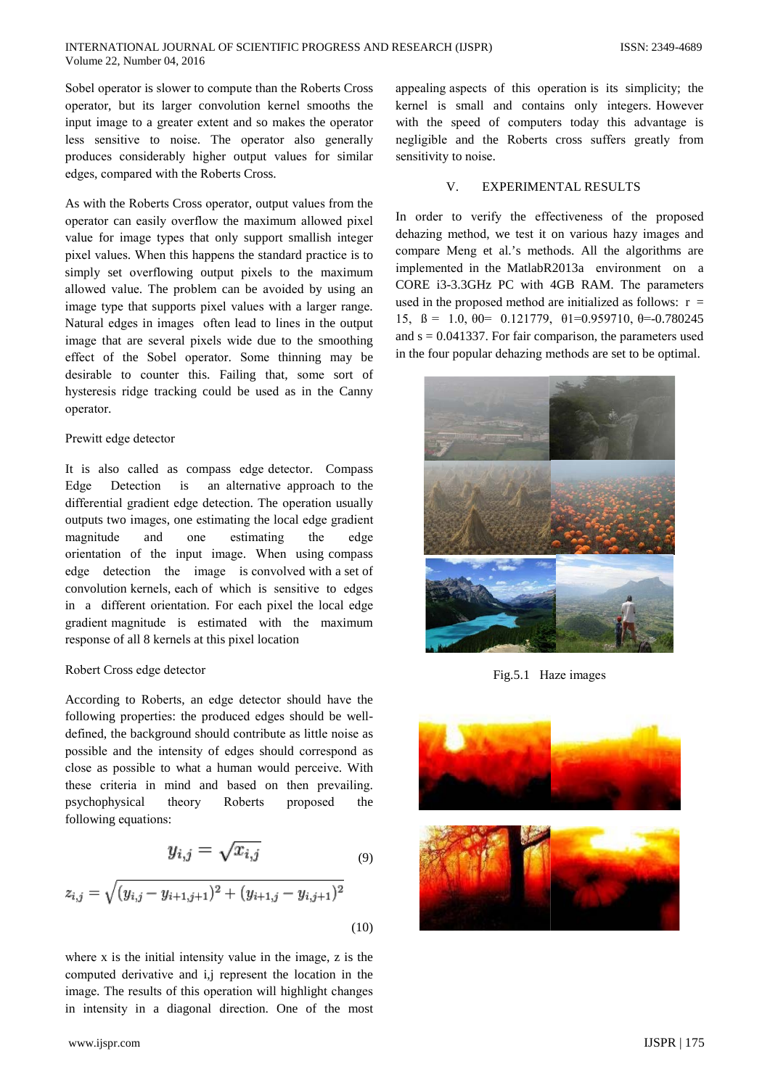Sobel operator is slower to compute than the Roberts Cross operator, but its larger convolution kernel smooths the input image to a greater extent and so makes the operator less sensitive to noise. The operator also generally produces considerably higher output values for similar edges, compared with the Roberts Cross.

As with the Roberts Cross operator, output values from the operator can easily overflow the maximum allowed pixel value for image types that only support smallish integer pixel values. When this happens the standard practice is to simply set overflowing output pixels to the maximum allowed value. The problem can be avoided by using an image type that supports pixel values with a larger range. Natural edges in images often lead to lines in the output image that are several pixels wide due to the smoothing effect of the Sobel operator. Some thinning may be desirable to counter this. Failing that, some sort of hysteresis ridge tracking could be used as in the Canny operator.

## Prewitt edge detector

It is also called as compass edge detector. Compass Detection an alternative approach to the Edge  $\mathbf{is}$ differential gradient edge detection. The operation usually outputs two images, one estimating the local edge gradient magnitude and one estimating the edge orientation of the input image. When using compass edge detection the image is convolved with a set of convolution kernels, each of which is sensitive to edges in a different orientation. For each pixel the local edge gradient magnitude is estimated with the maximum response of all 8 kernels at this pixel location

## Robert Cross edge detector

According to Roberts, an edge detector should have the following properties: the produced edges should be welldefined, the background should contribute as little noise as possible and the intensity of edges should correspond as close as possible to what a human would perceive. With these criteria in mind and based on then prevailing. psychophysical theory Roberts proposed the following equations:

$$
y_{i,j} = \sqrt{x_{i,j}} \tag{9}
$$

$$
\sqrt{(y_{i,j} - y_{i+1,j+1})^2 + (y_{i+1,j} - y_{i,j+1})^2}
$$

 $(10)$ 

where  $x$  is the initial intensity value in the image,  $z$  is the computed derivative and i,j represent the location in the image. The results of this operation will highlight changes in intensity in a diagonal direction. One of the most appealing aspects of this operation is its simplicity; the kernel is small and contains only integers. However with the speed of computers today this advantage is negligible and the Roberts cross suffers greatly from sensitivity to noise.

#### $V_{\cdot}$ **EXPERIMENTAL RESULTS**

In order to verify the effectiveness of the proposed dehazing method, we test it on various hazy images and compare Meng et al.'s methods. All the algorithms are implemented in the MatlabR2013a environment on a CORE i3-3.3GHz PC with 4GB RAM. The parameters used in the proposed method are initialized as follows:  $r =$ 15,  $\beta = 1.0$ ,  $\theta = 0.121779$ ,  $\theta = 0.959710$ ,  $\theta = -0.780245$ and  $s = 0.041337$ . For fair comparison, the parameters used in the four popular dehazing methods are set to be optimal.



Fig.5.1 Haze images



 $z_{i,j} =$